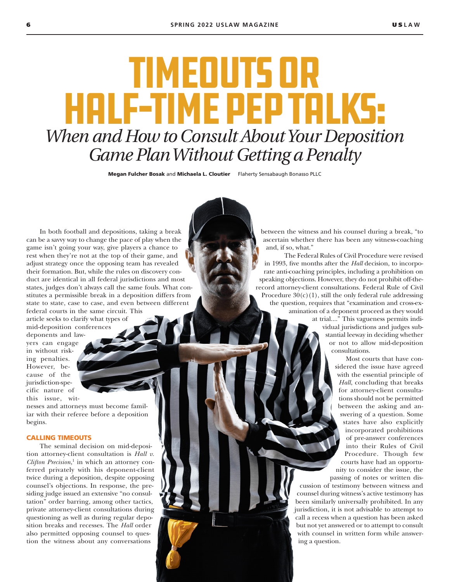# Timeouts or Half-Time Pep Talks: *When and How to Consult About Your Deposition Game Plan Without Getting a Penalty*

Megan Fulcher Bosak and Michaela L. Cloutier Flaherty Sensabaugh Bonasso PLLC

In both football and depositions, taking a break can be a savvy way to change the pace of play when the game isn't going your way, give players a chance to rest when they're not at the top of their game, and adjust strategy once the opposing team has revealed their formation. But, while the rules on discovery conduct are identical in all federal jurisdictions and most states, judges don't always call the same fouls. What constitutes a permissible break in a deposition differs from state to state, case to case, and even between different federal courts in the same circuit. This

article seeks to clarify what types of mid-deposition conferences deponents and lawyers can engage

in without risking penalties. However, because of the jurisdiction-specific nature of this issue, wit-

nesses and attorneys must become familiar with their referee before a deposition begins.

## CALLING TIMEOUTS

The seminal decision on mid-deposition attorney-client consultation is *Hall v. Clifton Precision*, 1 in which an attorney conferred privately with his deponent-client twice during a deposition, despite opposing counsel's objections. In response, the presiding judge issued an extensive "no consultation" order barring, among other tactics, private attorney-client consultations during questioning as well as during regular deposition breaks and recesses. The *Hall* order also permitted opposing counsel to question the witness about any conversations

between the witness and his counsel during a break, "to ascertain whether there has been any witness-coaching and, if so, what."

The Federal Rules of Civil Procedure were revised in 1993, five months after the *Hall* decision, to incorporate anti-coaching principles, including a prohibition on speaking objections. However, they do not prohibit off-therecord attorney-client consultations. Federal Rule of Civil Procedure  $30(c)(1)$ , still the only federal rule addressing the question, requires that "examination and cross-examination of a deponent proceed as they would

at trial...." This vagueness permits individual jurisdictions and judges substantial leeway in deciding whether or not to allow mid-deposition consultations.

> Most courts that have considered the issue have agreed with the essential principle of *Hall*, concluding that breaks for attorney-client consultations should not be permitted between the asking and answering of a question. Some states have also explicitly incorporated prohibitions of pre-answer conferences into their Rules of Civil Procedure. Though few courts have had an opportunity to consider the issue, the passing of notes or written dis-

cussion of testimony between witness and counsel during witness's active testimony has been similarly universally prohibited. In any jurisdiction, it is not advisable to attempt to call a recess when a question has been asked but not yet answered or to attempt to consult with counsel in written form while answering a question.